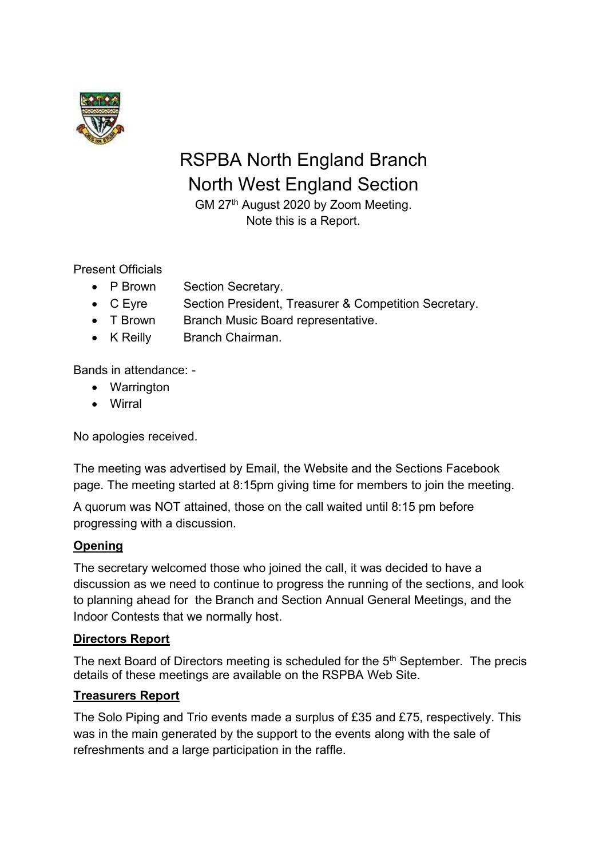

# RSPBA North England Branch North West England Section

GM 27th August 2020 by Zoom Meeting. Note this is a Report.

Present Officials

- P Brown Section Secretary.
- C Eyre Section President, Treasurer & Competition Secretary.
- T Brown Branch Music Board representative.
- K Reilly Branch Chairman.

Bands in attendance: -

- Warrington
- Wirral

No apologies received.

The meeting was advertised by Email, the Website and the Sections Facebook page. The meeting started at 8:15pm giving time for members to join the meeting.

A quorum was NOT attained, those on the call waited until 8:15 pm before progressing with a discussion.

# **Opening**

The secretary welcomed those who joined the call, it was decided to have a discussion as we need to continue to progress the running of the sections, and look to planning ahead for the Branch and Section Annual General Meetings, and the Indoor Contests that we normally host.

# **Directors Report**

The next Board of Directors meeting is scheduled for the 5<sup>th</sup> September. The precis details of these meetings are available on the RSPBA Web Site.

### **Treasurers Report**

The Solo Piping and Trio events made a surplus of £35 and £75, respectively. This was in the main generated by the support to the events along with the sale of refreshments and a large participation in the raffle.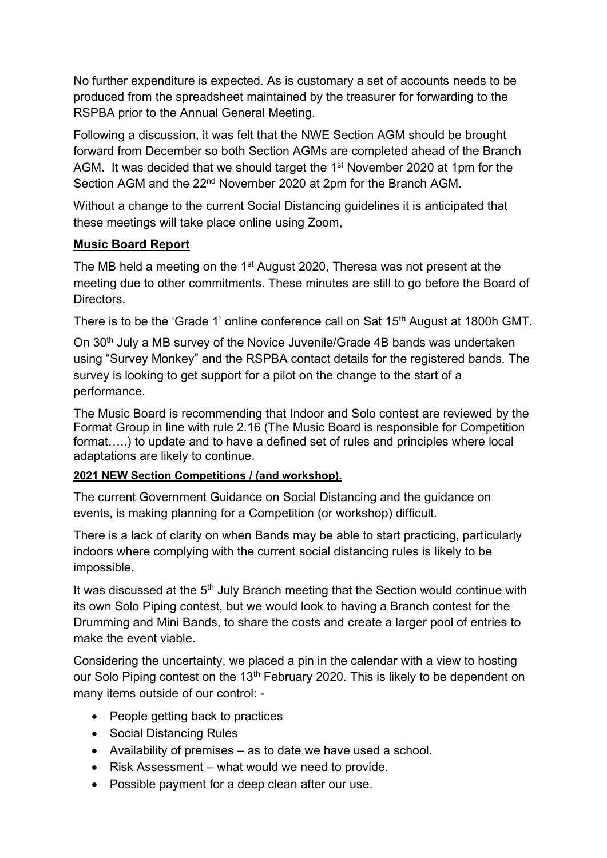No further expenditure is expected. As is customary a set of accounts needs to be produced from the spreadsheet maintained by the treasurer for forwarding to the RSPBA prior to the Annual General Meeting.

Following a discussion, it was felt that the NWE Section AGM should be brought forward from December so both Section AGMs are completed ahead of the Branch AGM. It was decided that we should target the 1<sup>st</sup> November 2020 at 1pm for the Section AGM and the 22<sup>nd</sup> November 2020 at 2pm for the Branch AGM.

Without a change to the current Social Distancing guidelines it is anticipated that these meetings will take place online using Zoom,

# **Music Board Report**

The MB held a meeting on the 1<sup>st</sup> August 2020, Theresa was not present at the meeting due to other commitments. These minutes are still to go before the Board of **Directors** 

There is to be the 'Grade 1' online conference call on Sat 15<sup>th</sup> August at 1800h GMT.

On 30<sup>th</sup> July a MB survey of the Novice Juvenile/Grade 4B bands was undertaken using "Survey Monkey" and the RSPBA contact details for the registered bands. The survey is looking to get support for a pilot on the change to the start of a performance.

The Music Board is recommending that Indoor and Solo contest are reviewed by the Format Group in line with rule 2.16 (The Music Board is responsible for Competition format…..) to update and to have a defined set of rules and principles where local adaptations are likely to continue.

# **2021 NEW Section Competitions / (and workshop).**

The current Government Guidance on Social Distancing and the guidance on events, is making planning for a Competition (or workshop) difficult.

There is a lack of clarity on when Bands may be able to start practicing, particularly indoors where complying with the current social distancing rules is likely to be impossible.

It was discussed at the 5<sup>th</sup> July Branch meeting that the Section would continue with its own Solo Piping contest, but we would look to having a Branch contest for the Drumming and Mini Bands, to share the costs and create a larger pool of entries to make the event viable.

Considering the uncertainty, we placed a pin in the calendar with a view to hosting our Solo Piping contest on the 13<sup>th</sup> February 2020. This is likely to be dependent on many items outside of our control: -

- People getting back to practices
- Social Distancing Rules
- Availability of premises as to date we have used a school.
- Risk Assessment what would we need to provide.
- Possible payment for a deep clean after our use.